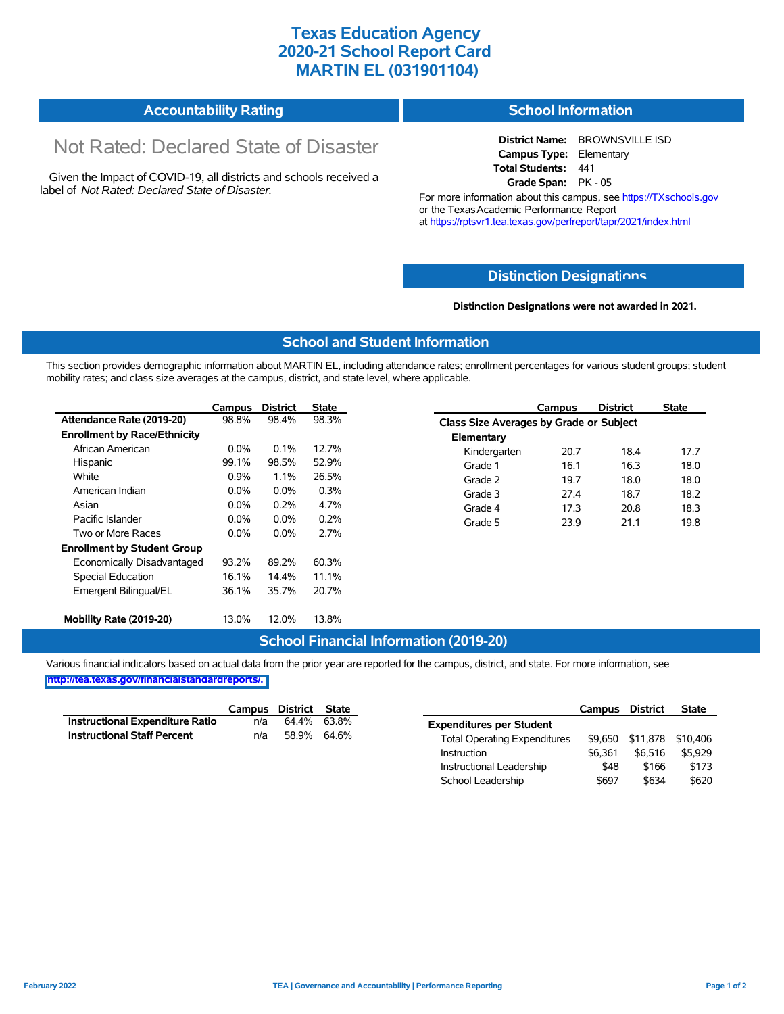## **Texas Education Agency 2020-21 School Report Card MARTIN EL (031901104)**

| <b>Accountability Rating</b><br><b>School Information</b> |  |
|-----------------------------------------------------------|--|
|-----------------------------------------------------------|--|

# Not Rated: Declared State of Disaster

Given the Impact of COVID-19, all districts and schools received a label of *Not Rated: Declared State of Disaster.*

**District Name:** BROWNSVILLE ISD **Campus Type:** Elementary **Total Students:** 441 **Grade Span:** PK - 05

For more information about this campus, see https://TXschools.gov or the Texas Academic Performance Report at https://rptsvr1.tea.texas.gov/perfreport/tapr/2021/index.html

#### **Distinction Designat[ions](https://TXschools.gov)**

**Distinction Designations were not awarded in 2021.**

School Leadership  $$697$  \$634 \$620

#### **School and Student Information**

This section provides demographic information about MARTIN EL, including attendance rates; enrollment percentages for various student groups; student mobility rates; and class size averages at the campus, district, and state level, where applicable.

|                                     | Campus  | <b>District</b> | <b>State</b> |              | Campus                                  | <b>District</b> | <b>State</b> |  |  |
|-------------------------------------|---------|-----------------|--------------|--------------|-----------------------------------------|-----------------|--------------|--|--|
| Attendance Rate (2019-20)           | 98.8%   | 98.4%           | 98.3%        |              | Class Size Averages by Grade or Subject |                 |              |  |  |
| <b>Enrollment by Race/Ethnicity</b> |         |                 |              | Elementary   |                                         |                 |              |  |  |
| African American                    | $0.0\%$ | 0.1%            | 12.7%        | Kindergarten | 20.7                                    | 18.4            | 17.7         |  |  |
| Hispanic                            | 99.1%   | 98.5%           | 52.9%        | Grade 1      | 16.1                                    | 16.3            | 18.0         |  |  |
| White                               | 0.9%    | 1.1%            | 26.5%        | Grade 2      | 19.7                                    | 18.0            | 18.0         |  |  |
| American Indian                     | $0.0\%$ | 0.0%            | 0.3%         | Grade 3      | 27.4                                    | 18.7            | 18.2         |  |  |
| Asian                               | $0.0\%$ | 0.2%            | 4.7%         | Grade 4      | 17.3                                    | 20.8            | 18.3         |  |  |
| Pacific Islander                    | $0.0\%$ | $0.0\%$         | 0.2%         | Grade 5      | 23.9                                    | 21.1            | 19.8         |  |  |
| Two or More Races                   | $0.0\%$ | $0.0\%$         | 2.7%         |              |                                         |                 |              |  |  |
| <b>Enrollment by Student Group</b>  |         |                 |              |              |                                         |                 |              |  |  |
| Economically Disadvantaged          | 93.2%   | 89.2%           | 60.3%        |              |                                         |                 |              |  |  |
| Special Education                   | 16.1%   | 14.4%           | 11.1%        |              |                                         |                 |              |  |  |
| Emergent Bilingual/EL               | 36.1%   | 35.7%           | 20.7%        |              |                                         |                 |              |  |  |
|                                     |         |                 |              |              |                                         |                 |              |  |  |
| Mobility Rate (2019-20)             | 13.0%   | 12.0%           | 13.8%        |              |                                         |                 |              |  |  |

### **School Financial Information (2019-20)**

Various financial indicators based on actual data from the prior year are reported for the campus, district, and state. For more information, see

**[http://tea.texas.gov/financialstandardreports/.](http://tea.texas.gov/financialstandardreports/)**

|                                        | Campus | District | State       |                                     | Campus  | <b>District</b>           | <b>State</b> |
|----------------------------------------|--------|----------|-------------|-------------------------------------|---------|---------------------------|--------------|
| <b>Instructional Expenditure Ratio</b> | n/a    | 64.4%    | 63.8%       | <b>Expenditures per Student</b>     |         |                           |              |
| <b>Instructional Staff Percent</b>     | n/a    |          | 58.9% 64.6% | <b>Total Operating Expenditures</b> |         | \$9,650 \$11,878 \$10,406 |              |
|                                        |        |          |             | Instruction                         | \$6.361 | \$6.516                   | \$5.929      |
|                                        |        |          |             | Instructional Leadership            | \$48    | \$166                     | \$173        |